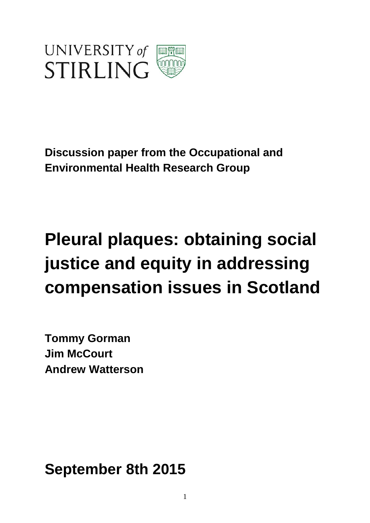

**Discussion paper from the Occupational and Environmental Health Research Group**

# **Pleural plaques: obtaining social justice and equity in addressing compensation issues in Scotland**

**Tommy Gorman Jim McCourt Andrew Watterson**

**September 8th 2015**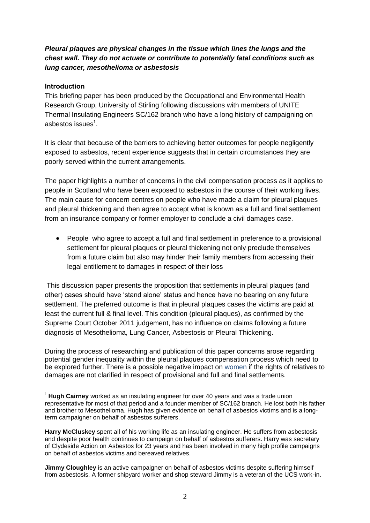## *Pleural plaques are physical changes in the tissue which lines the lungs and the chest wall. They do not actuate or contribute to potentially fatal conditions such as lung cancer, mesothelioma or asbestosis*

## **Introduction**

 $\overline{a}$ 

This briefing paper has been produced by the Occupational and Environmental Health Research Group, University of Stirling following discussions with members of UNITE Thermal Insulating Engineers SC/162 branch who have a long history of campaigning on asbestos issues $^{\rm 1}.$ 

It is clear that because of the barriers to achieving better outcomes for people negligently exposed to asbestos, recent experience suggests that in certain circumstances they are poorly served within the current arrangements.

The paper highlights a number of concerns in the civil compensation process as it applies to people in Scotland who have been exposed to asbestos in the course of their working lives. The main cause for concern centres on people who have made a claim for pleural plaques and pleural thickening and then agree to accept what is known as a full and final settlement from an insurance company or former employer to conclude a civil damages case.

 People who agree to accept a full and final settlement in preference to a provisional settlement for pleural plaques or pleural thickening not only preclude themselves from a future claim but also may hinder their family members from accessing their legal entitlement to damages in respect of their loss

This discussion paper presents the proposition that settlements in pleural plaques (and other) cases should have 'stand alone' status and hence have no bearing on any future settlement. The preferred outcome is that in pleural plaques cases the victims are paid at least the current full & final level. This condition (pleural plaques), as confirmed by the Supreme Court October 2011 judgement, has no influence on claims following a future diagnosis of Mesothelioma, Lung Cancer, Asbestosis or Pleural Thickening.

During the process of researching and publication of this paper concerns arose regarding potential gender inequality within the pleural plaques compensation process which need to be explored further. There is a possible negative impact on women if the rights of relatives to damages are not clarified in respect of provisional and full and final settlements.

<sup>1</sup> **Hugh Cairney** worked as an insulating engineer for over 40 years and was a trade union representative for most of that period and a founder member of SC/162 branch. He lost both his father and brother to Mesothelioma. Hugh has given evidence on behalf of asbestos victims and is a longterm campaigner on behalf of asbestos sufferers.

**Harry McCluskey** spent all of his working life as an insulating engineer. He suffers from asbestosis and despite poor health continues to campaign on behalf of asbestos sufferers. Harry was secretary of Clydeside Action on Asbestos for 23 years and has been involved in many high profile campaigns on behalf of asbestos victims and bereaved relatives.

**Jimmy Cloughley** is an active campaigner on behalf of asbestos victims despite suffering himself from asbestosis. A former shipyard worker and shop steward Jimmy is a veteran of the UCS work-in.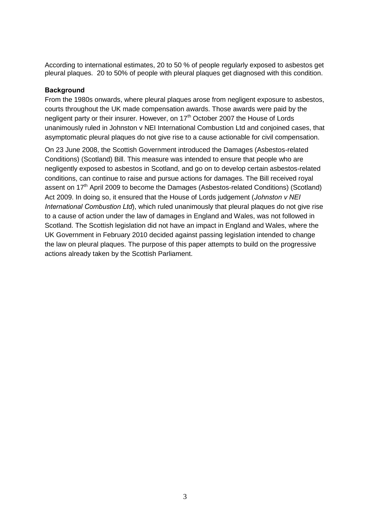According to international estimates, 20 to 50 % of people regularly exposed to asbestos get pleural plaques. 20 to 50% of people with pleural plaques get diagnosed with this condition.

#### **Background**

From the 1980s onwards, where pleural plaques arose from negligent exposure to asbestos, courts throughout the UK made compensation awards. Those awards were paid by the negligent party or their insurer. However, on 17<sup>th</sup> October 2007 the House of Lords unanimously ruled in Johnston v NEI International Combustion Ltd and conjoined cases, that asymptomatic pleural plaques do not give rise to a cause actionable for civil compensation.

On 23 June 2008, the Scottish Government introduced the Damages (Asbestos-related Conditions) (Scotland) Bill. This measure was intended to ensure that people who are negligently exposed to asbestos in Scotland, and go on to develop certain asbestos-related conditions, can continue to raise and pursue actions for damages. The Bill received royal assent on 17<sup>th</sup> April 2009 to become the Damages (Asbestos-related Conditions) (Scotland) Act 2009. In doing so, it ensured that the House of Lords judgement (*Johnston v NEI International Combustion Ltd*), which ruled unanimously that pleural plaques do not give rise to a cause of action under the law of damages in England and Wales, was not followed in Scotland. The Scottish legislation did not have an impact in England and Wales, where the UK Government in February 2010 decided against passing legislation intended to change the law on pleural plaques. The purpose of this paper attempts to build on the progressive actions already taken by the Scottish Parliament.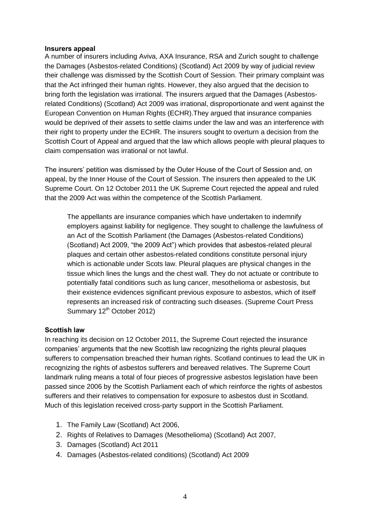#### **Insurers appeal**

A number of insurers including Aviva, AXA Insurance, RSA and Zurich sought to challenge the Damages (Asbestos-related Conditions) (Scotland) Act 2009 by way of judicial review their challenge was dismissed by the Scottish Court of Session. Their primary complaint was that the Act infringed their human rights. However, they also argued that the decision to bring forth the legislation was irrational. The insurers argued that the Damages (Asbestosrelated Conditions) (Scotland) Act 2009 was irrational, disproportionate and went against the European Convention on Human Rights (ECHR).They argued that insurance companies would be deprived of their assets to settle claims under the law and was an interference with their right to property under the ECHR. The insurers sought to overturn a decision from the Scottish Court of Appeal and argued that the law which allows people with pleural plaques to claim compensation was irrational or not lawful.

The insurers' petition was dismissed by the Outer House of the Court of Session and, on appeal, by the Inner House of the Court of Session. The insurers then appealed to the UK Supreme Court. On 12 October 2011 the UK Supreme Court rejected the appeal and ruled that the 2009 Act was within the competence of the Scottish Parliament.

The appellants are insurance companies which have undertaken to indemnify employers against liability for negligence. They sought to challenge the lawfulness of an Act of the Scottish Parliament (the Damages (Asbestos-related Conditions) (Scotland) Act 2009, "the 2009 Act") which provides that asbestos-related pleural plaques and certain other asbestos-related conditions constitute personal injury which is actionable under Scots law. Pleural plaques are physical changes in the tissue which lines the lungs and the chest wall. They do not actuate or contribute to potentially fatal conditions such as lung cancer, mesothelioma or asbestosis, but their existence evidences significant previous exposure to asbestos, which of itself represents an increased risk of contracting such diseases. (Supreme Court Press Summary 12<sup>th</sup> October 2012)

#### **Scottish law**

In reaching its decision on 12 October 2011, the Supreme Court rejected the insurance companies' arguments that the new Scottish law recognizing the rights pleural plaques sufferers to compensation breached their human rights. Scotland continues to lead the UK in recognizing the rights of asbestos sufferers and bereaved relatives. The Supreme Court landmark ruling means a total of four pieces of progressive asbestos legislation have been passed since 2006 by the Scottish Parliament each of which reinforce the rights of asbestos sufferers and their relatives to compensation for exposure to asbestos dust in Scotland. Much of this legislation received cross-party support in the Scottish Parliament.

- 1. The Family Law (Scotland) Act 2006,
- 2. Rights of Relatives to Damages (Mesothelioma) (Scotland) Act 2007,
- 3. Damages (Scotland) Act 2011
- 4. Damages (Asbestos-related conditions) (Scotland) Act 2009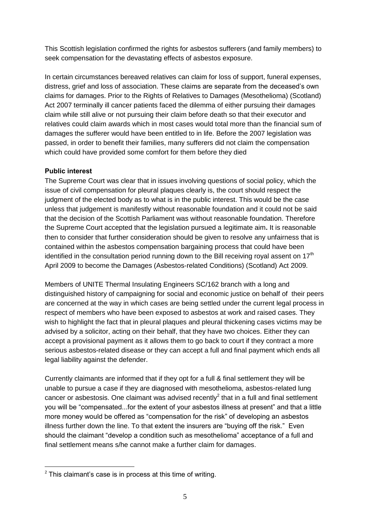This Scottish legislation confirmed the rights for asbestos sufferers (and family members) to seek compensation for the devastating effects of asbestos exposure.

In certain circumstances bereaved relatives can claim for loss of support, funeral expenses, distress, grief and loss of association. These claims are separate from the deceased's own claims for damages. Prior to the Rights of Relatives to Damages (Mesothelioma) (Scotland) Act 2007 terminally ill cancer patients faced the dilemma of either pursuing their damages claim while still alive or not pursuing their claim before death so that their executor and relatives could claim awards which in most cases would total more than the financial sum of damages the sufferer would have been entitled to in life. Before the 2007 legislation was passed, in order to benefit their families, many sufferers did not claim the compensation which could have provided some comfort for them before they died

## **Public interest**

 $\overline{a}$ 

The Supreme Court was clear that in issues involving questions of social policy, which the issue of civil compensation for pleural plaques clearly is, the court should respect the judgment of the elected body as to what is in the public interest. This would be the case unless that judgement is manifestly without reasonable foundation and it could not be said that the decision of the Scottish Parliament was without reasonable foundation. Therefore the Supreme Court accepted that the legislation pursued a legitimate aim**.** It is reasonable then to consider that further consideration should be given to resolve any unfairness that is contained within the asbestos compensation bargaining process that could have been identified in the consultation period running down to the Bill receiving royal assent on  $17<sup>th</sup>$ April 2009 to become the Damages (Asbestos-related Conditions) (Scotland) Act 2009.

Members of UNITE Thermal Insulating Engineers SC/162 branch with a long and distinguished history of campaigning for social and economic justice on behalf of their peers are concerned at the way in which cases are being settled under the current legal process in respect of members who have been exposed to asbestos at work and raised cases. They wish to highlight the fact that in pleural plaques and pleural thickening cases victims may be advised by a solicitor, acting on their behalf, that they have two choices. Either they can accept a provisional payment as it allows them to go back to court if they contract a more serious asbestos-related disease or they can accept a full and final payment which ends all legal liability against the defender.

Currently claimants are informed that if they opt for a full & final settlement they will be unable to pursue a case if they are diagnosed with mesothelioma, asbestos-related lung cancer or asbestosis. One claimant was advised recently<sup>2</sup> that in a full and final settlement you will be "compensated...for the extent of your asbestos illness at present" and that a little more money would be offered as "compensation for the risk" of developing an asbestos illness further down the line. To that extent the insurers are "buying off the risk." Even should the claimant "develop a condition such as mesothelioma" acceptance of a full and final settlement means s/he cannot make a further claim for damages.

 $2$  This claimant's case is in process at this time of writing.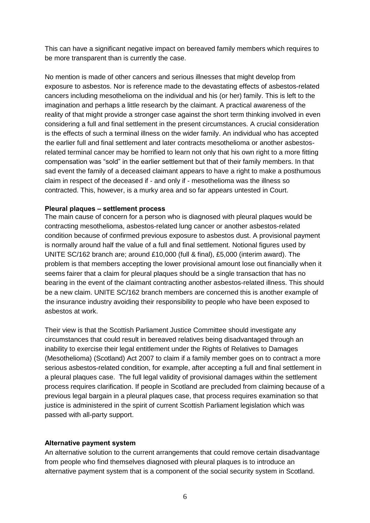This can have a significant negative impact on bereaved family members which requires to be more transparent than is currently the case.

No mention is made of other cancers and serious illnesses that might develop from exposure to asbestos. Nor is reference made to the devastating effects of asbestos-related cancers including mesothelioma on the individual and his (or her) family. This is left to the imagination and perhaps a little research by the claimant. A practical awareness of the reality of that might provide a stronger case against the short term thinking involved in even considering a full and final settlement in the present circumstances. A crucial consideration is the effects of such a terminal illness on the wider family. An individual who has accepted the earlier full and final settlement and later contracts mesothelioma or another asbestosrelated terminal cancer may be horrified to learn not only that his own right to a more fitting compensation was "sold" in the earlier settlement but that of their family members. In that sad event the family of a deceased claimant appears to have a right to make a posthumous claim in respect of the deceased if - and only if - mesothelioma was the illness so contracted. This, however, is a murky area and so far appears untested in Court.

#### **Pleural plaques – settlement process**

The main cause of concern for a person who is diagnosed with pleural plaques would be contracting mesothelioma, asbestos-related lung cancer or another asbestos-related condition because of confirmed previous exposure to asbestos dust. A provisional payment is normally around half the value of a full and final settlement. Notional figures used by UNITE SC/162 branch are; around £10,000 (full & final), £5,000 (interim award). The problem is that members accepting the lower provisional amount lose out financially when it seems fairer that a claim for pleural plaques should be a single transaction that has no bearing in the event of the claimant contracting another asbestos-related illness. This should be a new claim. UNITE SC/162 branch members are concerned this is another example of the insurance industry avoiding their responsibility to people who have been exposed to asbestos at work.

Their view is that the Scottish Parliament Justice Committee should investigate any circumstances that could result in bereaved relatives being disadvantaged through an inability to exercise their legal entitlement under the Rights of Relatives to Damages (Mesothelioma) (Scotland) Act 2007 to claim if a family member goes on to contract a more serious asbestos-related condition, for example, after accepting a full and final settlement in a pleural plaques case. The full legal validity of provisional damages within the settlement process requires clarification. If people in Scotland are precluded from claiming because of a previous legal bargain in a pleural plaques case, that process requires examination so that justice is administered in the spirit of current Scottish Parliament legislation which was passed with all-party support.

#### **Alternative payment system**

An alternative solution to the current arrangements that could remove certain disadvantage from people who find themselves diagnosed with pleural plaques is to introduce an alternative payment system that is a component of the social security system in Scotland.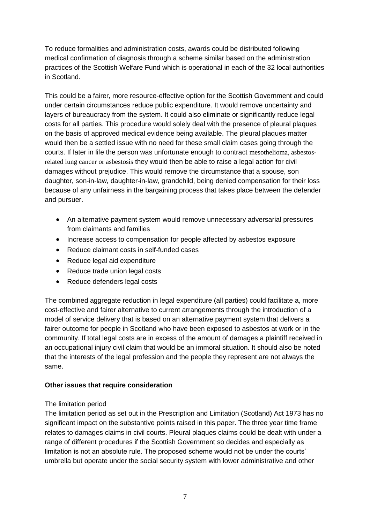To reduce formalities and administration costs, awards could be distributed following medical confirmation of diagnosis through a scheme similar based on the administration practices of the Scottish Welfare Fund which is operational in each of the 32 local authorities in Scotland.

This could be a fairer, more resource-effective option for the Scottish Government and could under certain circumstances reduce public expenditure. It would remove uncertainty and layers of bureaucracy from the system. It could also eliminate or significantly reduce legal costs for all parties. This procedure would solely deal with the presence of pleural plaques on the basis of approved medical evidence being available. The pleural plaques matter would then be a settled issue with no need for these small claim cases going through the courts. If later in life the person was unfortunate enough to contract mesothelioma, asbestosrelated lung cancer or asbestosis they would then be able to raise a legal action for civil damages without prejudice. This would remove the circumstance that a spouse, son daughter, son-in-law, daughter-in-law, grandchild, being denied compensation for their loss because of any unfairness in the bargaining process that takes place between the defender and pursuer.

- An alternative payment system would remove unnecessary adversarial pressures from claimants and families
- Increase access to compensation for people affected by asbestos exposure
- Reduce claimant costs in self-funded cases
- Reduce legal aid expenditure
- Reduce trade union legal costs
- Reduce defenders legal costs

The combined aggregate reduction in legal expenditure (all parties) could facilitate a, more cost-effective and fairer alternative to current arrangements through the introduction of a model of service delivery that is based on an alternative payment system that delivers a fairer outcome for people in Scotland who have been exposed to asbestos at work or in the community. If total legal costs are in excess of the amount of damages a plaintiff received in an occupational injury civil claim that would be an immoral situation. It should also be noted that the interests of the legal profession and the people they represent are not always the same.

## **Other issues that require consideration**

#### The limitation period

The limitation period as set out in the Prescription and Limitation (Scotland) Act 1973 has no significant impact on the substantive points raised in this paper. The three year time frame relates to damages claims in civil courts. Pleural plaques claims could be dealt with under a range of different procedures if the Scottish Government so decides and especially as limitation is not an absolute rule. The proposed scheme would not be under the courts' umbrella but operate under the social security system with lower administrative and other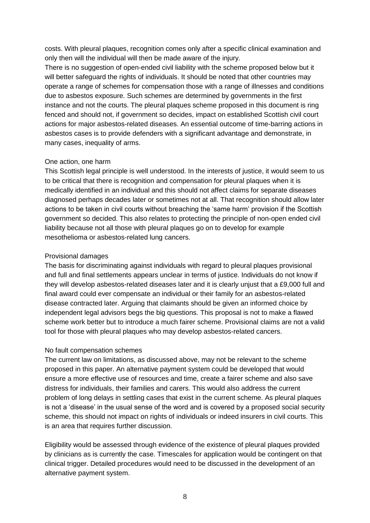costs. With pleural plaques, recognition comes only after a specific clinical examination and only then will the individual will then be made aware of the injury.

There is no suggestion of open-ended civil liability with the scheme proposed below but it will better safeguard the rights of individuals. It should be noted that other countries may operate a range of schemes for compensation those with a range of illnesses and conditions due to asbestos exposure. Such schemes are determined by governments in the first instance and not the courts. The pleural plaques scheme proposed in this document is ring fenced and should not, if government so decides, impact on established Scottish civil court actions for major asbestos-related diseases. An essential outcome of time-barring actions in asbestos cases is to provide defenders with a significant advantage and demonstrate, in many cases, inequality of arms.

## One action, one harm

This Scottish legal principle is well understood. In the interests of justice, it would seem to us to be critical that there is recognition and compensation for pleural plaques when it is medically identified in an individual and this should not affect claims for separate diseases diagnosed perhaps decades later or sometimes not at all. That recognition should allow later actions to be taken in civil courts without breaching the 'same harm' provision if the Scottish government so decided. This also relates to protecting the principle of non-open ended civil liability because not all those with pleural plaques go on to develop for example mesothelioma or asbestos-related lung cancers.

## Provisional damages

The basis for discriminating against individuals with regard to pleural plaques provisional and full and final settlements appears unclear in terms of justice. Individuals do not know if they will develop asbestos-related diseases later and it is clearly unjust that a £9,000 full and final award could ever compensate an individual or their family for an asbestos-related disease contracted later. Arguing that claimants should be given an informed choice by independent legal advisors begs the big questions. This proposal is not to make a flawed scheme work better but to introduce a much fairer scheme. Provisional claims are not a valid tool for those with pleural plaques who may develop asbestos-related cancers.

## No fault compensation schemes

The current law on limitations, as discussed above, may not be relevant to the scheme proposed in this paper. An alternative payment system could be developed that would ensure a more effective use of resources and time, create a fairer scheme and also save distress for individuals, their families and carers. This would also address the current problem of long delays in settling cases that exist in the current scheme. As pleural plaques is not a 'disease' in the usual sense of the word and is covered by a proposed social security scheme, this should not impact on rights of individuals or indeed insurers in civil courts. This is an area that requires further discussion.

Eligibility would be assessed through evidence of the existence of pleural plaques provided by clinicians as is currently the case. Timescales for application would be contingent on that clinical trigger. Detailed procedures would need to be discussed in the development of an alternative payment system.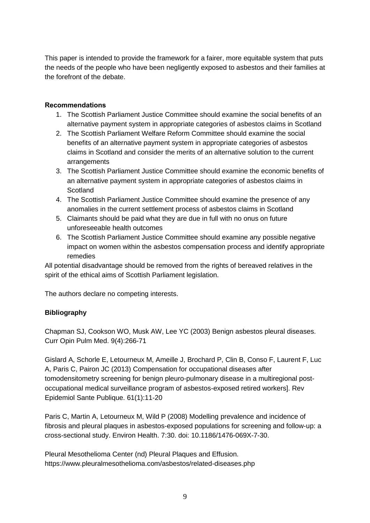This paper is intended to provide the framework for a fairer, more equitable system that puts the needs of the people who have been negligently exposed to asbestos and their families at the forefront of the debate.

## **Recommendations**

- 1. The Scottish Parliament Justice Committee should examine the social benefits of an alternative payment system in appropriate categories of asbestos claims in Scotland
- 2. The Scottish Parliament Welfare Reform Committee should examine the social benefits of an alternative payment system in appropriate categories of asbestos claims in Scotland and consider the merits of an alternative solution to the current arrangements
- 3. The Scottish Parliament Justice Committee should examine the economic benefits of an alternative payment system in appropriate categories of asbestos claims in **Scotland**
- 4. The Scottish Parliament Justice Committee should examine the presence of any anomalies in the current settlement process of asbestos claims in Scotland
- 5. Claimants should be paid what they are due in full with no onus on future unforeseeable health outcomes
- 6. The Scottish Parliament Justice Committee should examine any possible negative impact on women within the asbestos compensation process and identify appropriate remedies

All potential disadvantage should be removed from the rights of bereaved relatives in the spirit of the ethical aims of Scottish Parliament legislation.

The authors declare no competing interests.

# **Bibliography**

Chapman SJ, Cookson WO, Musk AW, Lee YC (2003) Benign asbestos pleural diseases. Curr Opin Pulm Med. 9(4):266-71

Gislard A, Schorle E, Letourneux M, Ameille J, Brochard P, Clin B, Conso F, Laurent F, Luc A, Paris C, Pairon JC (2013) Compensation for occupational diseases after tomodensitometry screening for benign pleuro-pulmonary disease in a multiregional postoccupational medical surveillance program of asbestos-exposed retired workers]. Rev Epidemiol Sante Publique. 61(1):11-20

Paris C, Martin A, Letourneux M, Wild P (2008) Modelling prevalence and incidence of fibrosis and pleural plaques in asbestos-exposed populations for screening and follow-up: a cross-sectional study. Environ Health. 7:30. doi: 10.1186/1476-069X-7-30.

Pleural Mesothelioma Center (nd) Pleural Plaques and Effusion. https://www.pleuralmesothelioma.com/asbestos/related-diseases.php